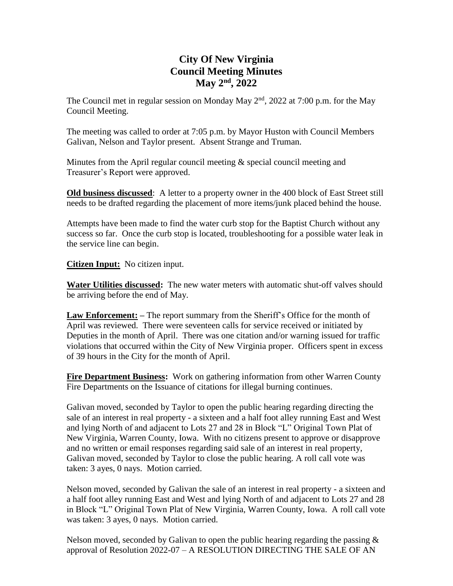# **City Of New Virginia Council Meeting Minutes May 2nd , 2022**

The Council met in regular session on Monday May  $2<sup>nd</sup>$ , 2022 at 7:00 p.m. for the May Council Meeting.

The meeting was called to order at 7:05 p.m. by Mayor Huston with Council Members Galivan, Nelson and Taylor present. Absent Strange and Truman.

Minutes from the April regular council meeting & special council meeting and Treasurer's Report were approved.

**Old business discussed**: A letter to a property owner in the 400 block of East Street still needs to be drafted regarding the placement of more items/junk placed behind the house.

Attempts have been made to find the water curb stop for the Baptist Church without any success so far. Once the curb stop is located, troubleshooting for a possible water leak in the service line can begin.

**Citizen Input:** No citizen input.

**Water Utilities discussed:** The new water meters with automatic shut-off valves should be arriving before the end of May.

**Law Enforcement: –** The report summary from the Sheriff's Office for the month of April was reviewed. There were seventeen calls for service received or initiated by Deputies in the month of April. There was one citation and/or warning issued for traffic violations that occurred within the City of New Virginia proper. Officers spent in excess of 39 hours in the City for the month of April.

**Fire Department Business:** Work on gathering information from other Warren County Fire Departments on the Issuance of citations for illegal burning continues.

Galivan moved, seconded by Taylor to open the public hearing regarding directing the sale of an interest in real property - a sixteen and a half foot alley running East and West and lying North of and adjacent to Lots 27 and 28 in Block "L" Original Town Plat of New Virginia, Warren County, Iowa. With no citizens present to approve or disapprove and no written or email responses regarding said sale of an interest in real property, Galivan moved, seconded by Taylor to close the public hearing. A roll call vote was taken: 3 ayes, 0 nays. Motion carried.

Nelson moved, seconded by Galivan the sale of an interest in real property - a sixteen and a half foot alley running East and West and lying North of and adjacent to Lots 27 and 28 in Block "L" Original Town Plat of New Virginia, Warren County, Iowa. A roll call vote was taken: 3 ayes, 0 nays. Motion carried.

Nelson moved, seconded by Galivan to open the public hearing regarding the passing & approval of Resolution 2022-07 – A RESOLUTION DIRECTING THE SALE OF AN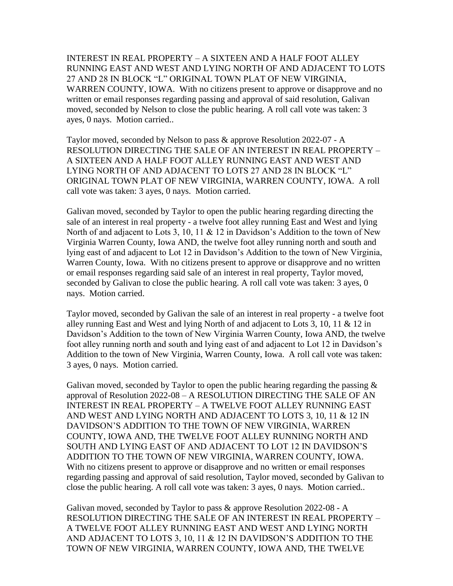INTEREST IN REAL PROPERTY – A SIXTEEN AND A HALF FOOT ALLEY RUNNING EAST AND WEST AND LYING NORTH OF AND ADJACENT TO LOTS 27 AND 28 IN BLOCK "L" ORIGINAL TOWN PLAT OF NEW VIRGINIA, WARREN COUNTY, IOWA. With no citizens present to approve or disapprove and no written or email responses regarding passing and approval of said resolution, Galivan moved, seconded by Nelson to close the public hearing. A roll call vote was taken: 3 ayes, 0 nays. Motion carried..

Taylor moved, seconded by Nelson to pass & approve Resolution 2022-07 - A RESOLUTION DIRECTING THE SALE OF AN INTEREST IN REAL PROPERTY – A SIXTEEN AND A HALF FOOT ALLEY RUNNING EAST AND WEST AND LYING NORTH OF AND ADJACENT TO LOTS 27 AND 28 IN BLOCK "L" ORIGINAL TOWN PLAT OF NEW VIRGINIA, WARREN COUNTY, IOWA. A roll call vote was taken: 3 ayes, 0 nays. Motion carried.

Galivan moved, seconded by Taylor to open the public hearing regarding directing the sale of an interest in real property - a twelve foot alley running East and West and lying North of and adjacent to Lots 3, 10, 11 & 12 in Davidson's Addition to the town of New Virginia Warren County, Iowa AND, the twelve foot alley running north and south and lying east of and adjacent to Lot 12 in Davidson's Addition to the town of New Virginia, Warren County, Iowa. With no citizens present to approve or disapprove and no written or email responses regarding said sale of an interest in real property, Taylor moved, seconded by Galivan to close the public hearing. A roll call vote was taken: 3 ayes, 0 nays. Motion carried.

Taylor moved, seconded by Galivan the sale of an interest in real property - a twelve foot alley running East and West and lying North of and adjacent to Lots 3, 10, 11 & 12 in Davidson's Addition to the town of New Virginia Warren County, Iowa AND, the twelve foot alley running north and south and lying east of and adjacent to Lot 12 in Davidson's Addition to the town of New Virginia, Warren County, Iowa. A roll call vote was taken: 3 ayes, 0 nays. Motion carried.

Galivan moved, seconded by Taylor to open the public hearing regarding the passing  $\&$ approval of Resolution 2022-08 – A RESOLUTION DIRECTING THE SALE OF AN INTEREST IN REAL PROPERTY – A TWELVE FOOT ALLEY RUNNING EAST AND WEST AND LYING NORTH AND ADJACENT TO LOTS 3, 10, 11 & 12 IN DAVIDSON'S ADDITION TO THE TOWN OF NEW VIRGINIA, WARREN COUNTY, IOWA AND, THE TWELVE FOOT ALLEY RUNNING NORTH AND SOUTH AND LYING EAST OF AND ADJACENT TO LOT 12 IN DAVIDSON'S ADDITION TO THE TOWN OF NEW VIRGINIA, WARREN COUNTY, IOWA. With no citizens present to approve or disapprove and no written or email responses regarding passing and approval of said resolution, Taylor moved, seconded by Galivan to close the public hearing. A roll call vote was taken: 3 ayes, 0 nays. Motion carried..

Galivan moved, seconded by Taylor to pass & approve Resolution 2022-08 - A RESOLUTION DIRECTING THE SALE OF AN INTEREST IN REAL PROPERTY – A TWELVE FOOT ALLEY RUNNING EAST AND WEST AND LYING NORTH AND ADJACENT TO LOTS 3, 10, 11 & 12 IN DAVIDSON'S ADDITION TO THE TOWN OF NEW VIRGINIA, WARREN COUNTY, IOWA AND, THE TWELVE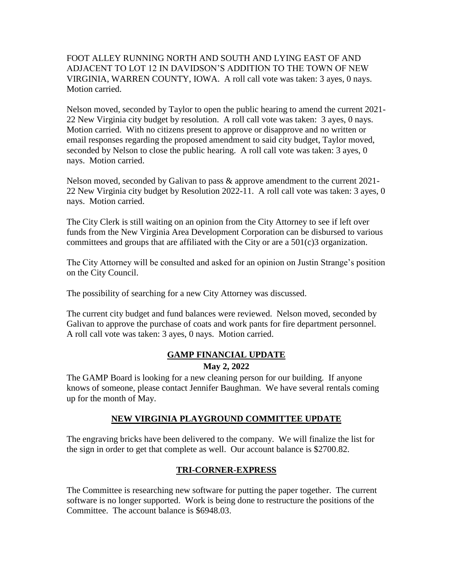FOOT ALLEY RUNNING NORTH AND SOUTH AND LYING EAST OF AND ADJACENT TO LOT 12 IN DAVIDSON'S ADDITION TO THE TOWN OF NEW VIRGINIA, WARREN COUNTY, IOWA. A roll call vote was taken: 3 ayes, 0 nays. Motion carried.

Nelson moved, seconded by Taylor to open the public hearing to amend the current 2021- 22 New Virginia city budget by resolution. A roll call vote was taken: 3 ayes, 0 nays. Motion carried. With no citizens present to approve or disapprove and no written or email responses regarding the proposed amendment to said city budget, Taylor moved, seconded by Nelson to close the public hearing. A roll call vote was taken: 3 ayes, 0 nays. Motion carried.

Nelson moved, seconded by Galivan to pass & approve amendment to the current 2021- 22 New Virginia city budget by Resolution 2022-11. A roll call vote was taken: 3 ayes, 0 nays. Motion carried.

The City Clerk is still waiting on an opinion from the City Attorney to see if left over funds from the New Virginia Area Development Corporation can be disbursed to various committees and groups that are affiliated with the City or are a 501(c)3 organization.

The City Attorney will be consulted and asked for an opinion on Justin Strange's position on the City Council.

The possibility of searching for a new City Attorney was discussed.

The current city budget and fund balances were reviewed. Nelson moved, seconded by Galivan to approve the purchase of coats and work pants for fire department personnel. A roll call vote was taken: 3 ayes, 0 nays. Motion carried.

## **GAMP FINANCIAL UPDATE May 2, 2022**

The GAMP Board is looking for a new cleaning person for our building. If anyone knows of someone, please contact Jennifer Baughman. We have several rentals coming up for the month of May.

#### **NEW VIRGINIA PLAYGROUND COMMITTEE UPDATE**

The engraving bricks have been delivered to the company. We will finalize the list for the sign in order to get that complete as well. Our account balance is \$2700.82.

## **TRI-CORNER-EXPRESS**

The Committee is researching new software for putting the paper together. The current software is no longer supported. Work is being done to restructure the positions of the Committee. The account balance is \$6948.03.